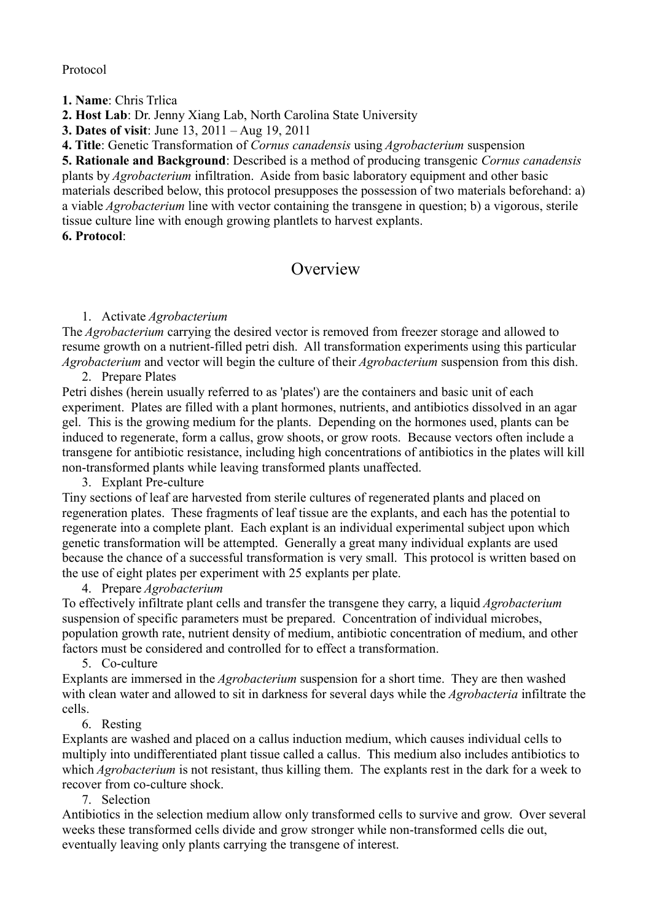Protocol

**1. Name**: Chris Trlica

**2. Host Lab**: Dr. Jenny Xiang Lab, North Carolina State University

**3. Dates of visit**: June 13, 2011 – Aug 19, 2011

**4. Title**: Genetic Transformation of *Cornus canadensis* using *Agrobacterium* suspension

**5. Rationale and Background**: Described is a method of producing transgenic *Cornus canadensis* plants by *Agrobacterium* infiltration. Aside from basic laboratory equipment and other basic materials described below, this protocol presupposes the possession of two materials beforehand: a) a viable *Agrobacterium* line with vector containing the transgene in question; b) a vigorous, sterile tissue culture line with enough growing plantlets to harvest explants.

**6. Protocol**:

## **Overview**

### 1. Activate *Agrobacterium*

The *Agrobacterium* carrying the desired vector is removed from freezer storage and allowed to resume growth on a nutrient-filled petri dish. All transformation experiments using this particular *Agrobacterium* and vector will begin the culture of their *Agrobacterium* suspension from this dish.

2. Prepare Plates

Petri dishes (herein usually referred to as 'plates') are the containers and basic unit of each experiment. Plates are filled with a plant hormones, nutrients, and antibiotics dissolved in an agar gel. This is the growing medium for the plants. Depending on the hormones used, plants can be induced to regenerate, form a callus, grow shoots, or grow roots. Because vectors often include a transgene for antibiotic resistance, including high concentrations of antibiotics in the plates will kill non-transformed plants while leaving transformed plants unaffected.

3. Explant Pre-culture

Tiny sections of leaf are harvested from sterile cultures of regenerated plants and placed on regeneration plates. These fragments of leaf tissue are the explants, and each has the potential to regenerate into a complete plant. Each explant is an individual experimental subject upon which genetic transformation will be attempted. Generally a great many individual explants are used because the chance of a successful transformation is very small. This protocol is written based on the use of eight plates per experiment with 25 explants per plate.

4. Prepare *Agrobacterium*

To effectively infiltrate plant cells and transfer the transgene they carry, a liquid *Agrobacterium* suspension of specific parameters must be prepared. Concentration of individual microbes, population growth rate, nutrient density of medium, antibiotic concentration of medium, and other factors must be considered and controlled for to effect a transformation.

### 5. Co-culture

Explants are immersed in the *Agrobacterium* suspension for a short time. They are then washed with clean water and allowed to sit in darkness for several days while the *Agrobacteria* infiltrate the cells.

### 6. Resting

Explants are washed and placed on a callus induction medium, which causes individual cells to multiply into undifferentiated plant tissue called a callus. This medium also includes antibiotics to which *Agrobacterium* is not resistant, thus killing them. The explants rest in the dark for a week to recover from co-culture shock.

7. Selection

Antibiotics in the selection medium allow only transformed cells to survive and grow. Over several weeks these transformed cells divide and grow stronger while non-transformed cells die out, eventually leaving only plants carrying the transgene of interest.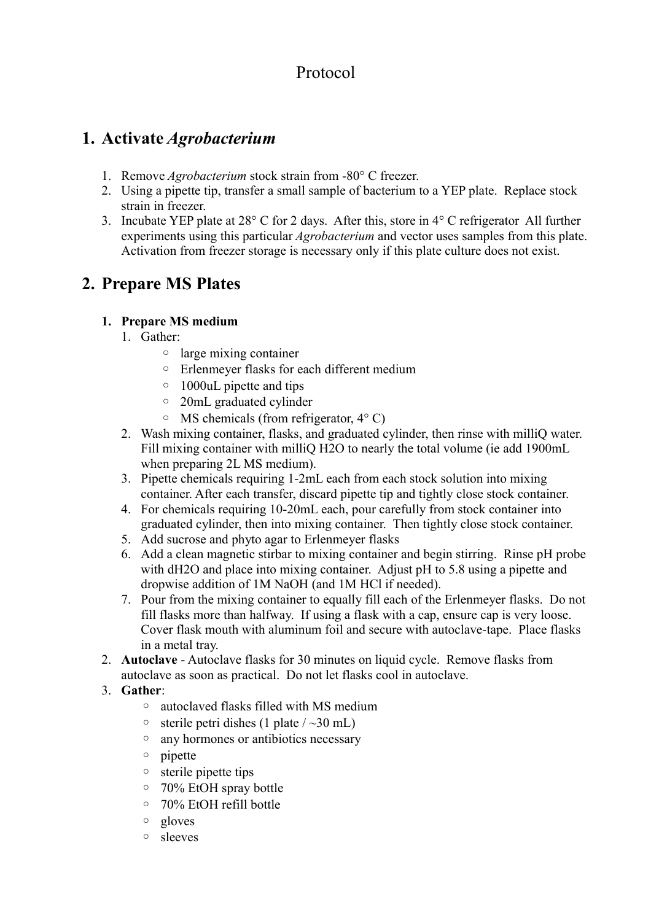# Protocol

# **1. Activate** *Agrobacterium*

- 1. Remove *Agrobacterium* stock strain from -80° C freezer.
- 2. Using a pipette tip, transfer a small sample of bacterium to a YEP plate. Replace stock strain in freezer.
- 3. Incubate YEP plate at 28° C for 2 days. After this, store in 4° C refrigerator All further experiments using this particular *Agrobacterium* and vector uses samples from this plate. Activation from freezer storage is necessary only if this plate culture does not exist.

# **2. Prepare MS Plates**

## **1. Prepare MS medium**

- 1. Gather:
	- large mixing container
	- Erlenmeyer flasks for each different medium
	- 1000uL pipette and tips
	- 20mL graduated cylinder
	- MS chemicals (from refrigerator, 4° C)
- 2. Wash mixing container, flasks, and graduated cylinder, then rinse with milliQ water. Fill mixing container with milliQ H2O to nearly the total volume (ie add 1900mL when preparing 2L MS medium).
- 3. Pipette chemicals requiring 1-2mL each from each stock solution into mixing container. After each transfer, discard pipette tip and tightly close stock container.
- 4. For chemicals requiring 10-20mL each, pour carefully from stock container into graduated cylinder, then into mixing container. Then tightly close stock container.
- 5. Add sucrose and phyto agar to Erlenmeyer flasks
- 6. Add a clean magnetic stirbar to mixing container and begin stirring. Rinse pH probe with dH2O and place into mixing container. Adjust pH to 5.8 using a pipette and dropwise addition of 1M NaOH (and 1M HCl if needed).
- 7. Pour from the mixing container to equally fill each of the Erlenmeyer flasks. Do not fill flasks more than halfway. If using a flask with a cap, ensure cap is very loose. Cover flask mouth with aluminum foil and secure with autoclave-tape. Place flasks in a metal tray.
- 2. **Autoclave** Autoclave flasks for 30 minutes on liquid cycle. Remove flasks from autoclave as soon as practical. Do not let flasks cool in autoclave.
- 3. **Gather**:
	- autoclaved flasks filled with MS medium
	- $\circ$  sterile petri dishes (1 plate /  $\sim$ 30 mL)
	- any hormones or antibiotics necessary
	- pipette
	- sterile pipette tips
	- 70% EtOH spray bottle
	- 70% EtOH refill bottle
	- gloves
	- sleeves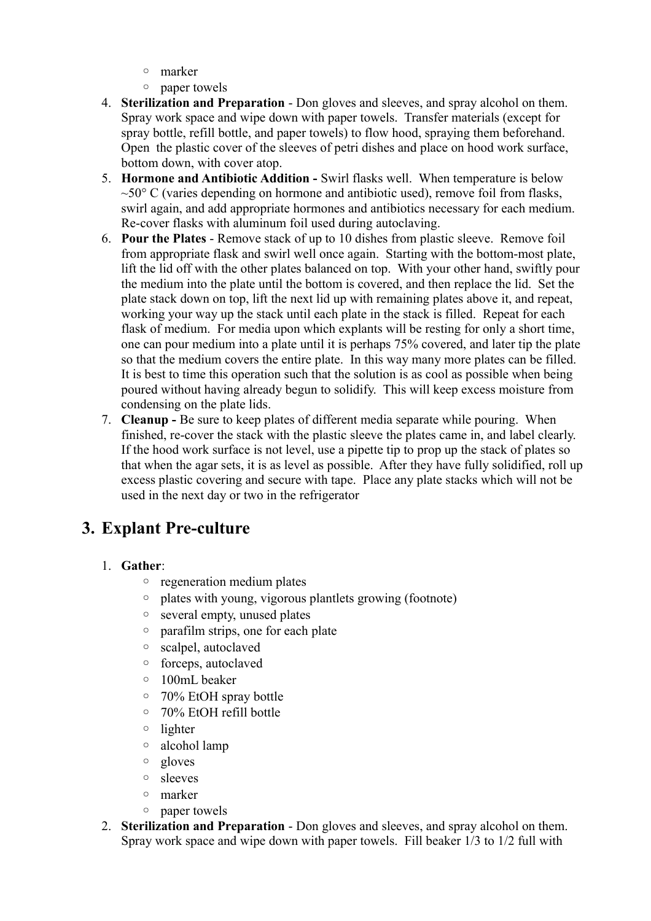- marker
- paper towels
- 4. **Sterilization and Preparation** Don gloves and sleeves, and spray alcohol on them. Spray work space and wipe down with paper towels. Transfer materials (except for spray bottle, refill bottle, and paper towels) to flow hood, spraying them beforehand. Open the plastic cover of the sleeves of petri dishes and place on hood work surface, bottom down, with cover atop.
- 5. **Hormone and Antibiotic Addition** Swirl flasks well. When temperature is below  $\sim$ 50 $\degree$  C (varies depending on hormone and antibiotic used), remove foil from flasks, swirl again, and add appropriate hormones and antibiotics necessary for each medium. Re-cover flasks with aluminum foil used during autoclaving.
- 6. **Pour the Plates** Remove stack of up to 10 dishes from plastic sleeve. Remove foil from appropriate flask and swirl well once again. Starting with the bottom-most plate, lift the lid off with the other plates balanced on top. With your other hand, swiftly pour the medium into the plate until the bottom is covered, and then replace the lid. Set the plate stack down on top, lift the next lid up with remaining plates above it, and repeat, working your way up the stack until each plate in the stack is filled. Repeat for each flask of medium. For media upon which explants will be resting for only a short time, one can pour medium into a plate until it is perhaps 75% covered, and later tip the plate so that the medium covers the entire plate. In this way many more plates can be filled. It is best to time this operation such that the solution is as cool as possible when being poured without having already begun to solidify. This will keep excess moisture from condensing on the plate lids.
- 7. **Cleanup -** Be sure to keep plates of different media separate while pouring. When finished, re-cover the stack with the plastic sleeve the plates came in, and label clearly. If the hood work surface is not level, use a pipette tip to prop up the stack of plates so that when the agar sets, it is as level as possible. After they have fully solidified, roll up excess plastic covering and secure with tape. Place any plate stacks which will not be used in the next day or two in the refrigerator

# **3. Explant Pre-culture**

- 1. **Gather**:
	- regeneration medium plates
	- plates with young, vigorous plantlets growing (footnote)
	- several empty, unused plates
	- parafilm strips, one for each plate
	- scalpel, autoclaved
	- forceps, autoclaved
	- 100mL beaker
	- 70% EtOH spray bottle
	- 70% EtOH refill bottle
	- lighter
	- alcohol lamp
	- gloves
	- sleeves
	- marker
	- paper towels
- 2. **Sterilization and Preparation** Don gloves and sleeves, and spray alcohol on them. Spray work space and wipe down with paper towels. Fill beaker 1/3 to 1/2 full with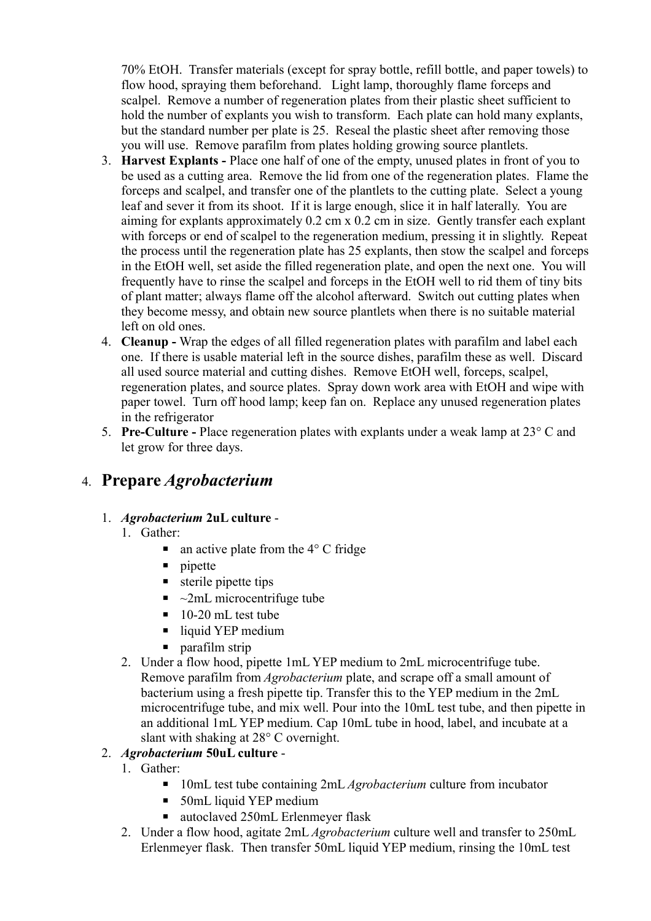70% EtOH. Transfer materials (except for spray bottle, refill bottle, and paper towels) to flow hood, spraying them beforehand. Light lamp, thoroughly flame forceps and scalpel. Remove a number of regeneration plates from their plastic sheet sufficient to hold the number of explants you wish to transform. Each plate can hold many explants, but the standard number per plate is 25. Reseal the plastic sheet after removing those you will use. Remove parafilm from plates holding growing source plantlets.

- 3. **Harvest Explants** Place one half of one of the empty, unused plates in front of you to be used as a cutting area. Remove the lid from one of the regeneration plates. Flame the forceps and scalpel, and transfer one of the plantlets to the cutting plate. Select a young leaf and sever it from its shoot. If it is large enough, slice it in half laterally. You are aiming for explants approximately 0.2 cm x 0.2 cm in size. Gently transfer each explant with forceps or end of scalpel to the regeneration medium, pressing it in slightly. Repeat the process until the regeneration plate has 25 explants, then stow the scalpel and forceps in the EtOH well, set aside the filled regeneration plate, and open the next one. You will frequently have to rinse the scalpel and forceps in the EtOH well to rid them of tiny bits of plant matter; always flame off the alcohol afterward. Switch out cutting plates when they become messy, and obtain new source plantlets when there is no suitable material left on old ones.
- 4. **Cleanup** Wrap the edges of all filled regeneration plates with parafilm and label each one. If there is usable material left in the source dishes, parafilm these as well. Discard all used source material and cutting dishes. Remove EtOH well, forceps, scalpel, regeneration plates, and source plates. Spray down work area with EtOH and wipe with paper towel. Turn off hood lamp; keep fan on. Replace any unused regeneration plates in the refrigerator
- 5. **Pre-Culture** Place regeneration plates with explants under a weak lamp at 23° C and let grow for three days.

## 4. **Prepare** *Agrobacterium*

## 1. *Agrobacterium* **2uL culture** -

- 1. Gather:
	- $\blacksquare$  an active plate from the 4 $\degree$  C fridge
	- $\blacksquare$  pipette
	- $\blacksquare$  sterile pipette tips
	- $\blacksquare$  ~2mL microcentrifuge tube
	- $\blacksquare$  10-20 mL test tube
	- liquid YEP medium
	- $\blacksquare$  parafilm strip
- 2. Under a flow hood, pipette 1mL YEP medium to 2mL microcentrifuge tube. Remove parafilm from *Agrobacterium* plate, and scrape off a small amount of bacterium using a fresh pipette tip. Transfer this to the YEP medium in the 2mL microcentrifuge tube, and mix well. Pour into the 10mL test tube, and then pipette in an additional 1mL YEP medium. Cap 10mL tube in hood, label, and incubate at a slant with shaking at 28° C overnight.

## 2. *Agrobacterium* **50uL culture** -

- 1. Gather:
	- 10mL test tube containing 2mL *Agrobacterium* culture from incubator
	- 50mL liquid YEP medium
	- autoclaved 250mL Erlenmeyer flask
- 2. Under a flow hood, agitate 2mL *Agrobacterium* culture well and transfer to 250mL Erlenmeyer flask. Then transfer 50mL liquid YEP medium, rinsing the 10mL test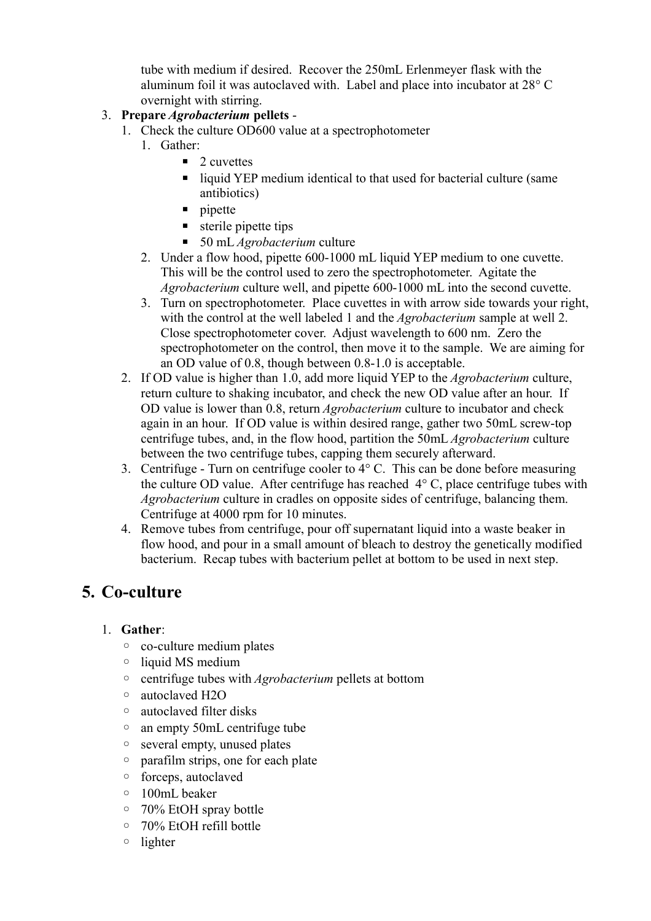tube with medium if desired. Recover the 250mL Erlenmeyer flask with the aluminum foil it was autoclaved with. Label and place into incubator at 28° C overnight with stirring.

### 3. **Prepare** *Agrobacterium* **pellets** -

- 1. Check the culture OD600 value at a spectrophotometer
	- 1. Gather:
		- $\blacksquare$  2 cuvettes
		- liquid YEP medium identical to that used for bacterial culture (same antibiotics)
		- $\blacksquare$  pipette
		- sterile pipette tips
		- 50 mL *Agrobacterium* culture
	- 2. Under a flow hood, pipette 600-1000 mL liquid YEP medium to one cuvette. This will be the control used to zero the spectrophotometer. Agitate the *Agrobacterium* culture well, and pipette 600-1000 mL into the second cuvette.
	- 3. Turn on spectrophotometer. Place cuvettes in with arrow side towards your right, with the control at the well labeled 1 and the *Agrobacterium* sample at well 2. Close spectrophotometer cover. Adjust wavelength to 600 nm. Zero the spectrophotometer on the control, then move it to the sample. We are aiming for an OD value of 0.8, though between 0.8-1.0 is acceptable.
- 2. If OD value is higher than 1.0, add more liquid YEP to the *Agrobacterium* culture, return culture to shaking incubator, and check the new OD value after an hour. If OD value is lower than 0.8, return *Agrobacterium* culture to incubator and check again in an hour. If OD value is within desired range, gather two 50mL screw-top centrifuge tubes, and, in the flow hood, partition the 50mL *Agrobacterium* culture between the two centrifuge tubes, capping them securely afterward.
- 3. Centrifuge Turn on centrifuge cooler to  $4^{\circ}$  C. This can be done before measuring the culture OD value. After centrifuge has reached 4° C, place centrifuge tubes with *Agrobacterium* culture in cradles on opposite sides of centrifuge, balancing them. Centrifuge at 4000 rpm for 10 minutes.
- 4. Remove tubes from centrifuge, pour off supernatant liquid into a waste beaker in flow hood, and pour in a small amount of bleach to destroy the genetically modified bacterium. Recap tubes with bacterium pellet at bottom to be used in next step.

# **5. Co-culture**

## 1. **Gather**:

- co-culture medium plates
- liquid MS medium
- centrifuge tubes with *Agrobacterium* pellets at bottom
- autoclaved H2O
- autoclaved filter disks
- an empty 50mL centrifuge tube
- several empty, unused plates
- parafilm strips, one for each plate
- forceps, autoclaved
- 100mL beaker
- 70% EtOH spray bottle
- 70% EtOH refill bottle
- lighter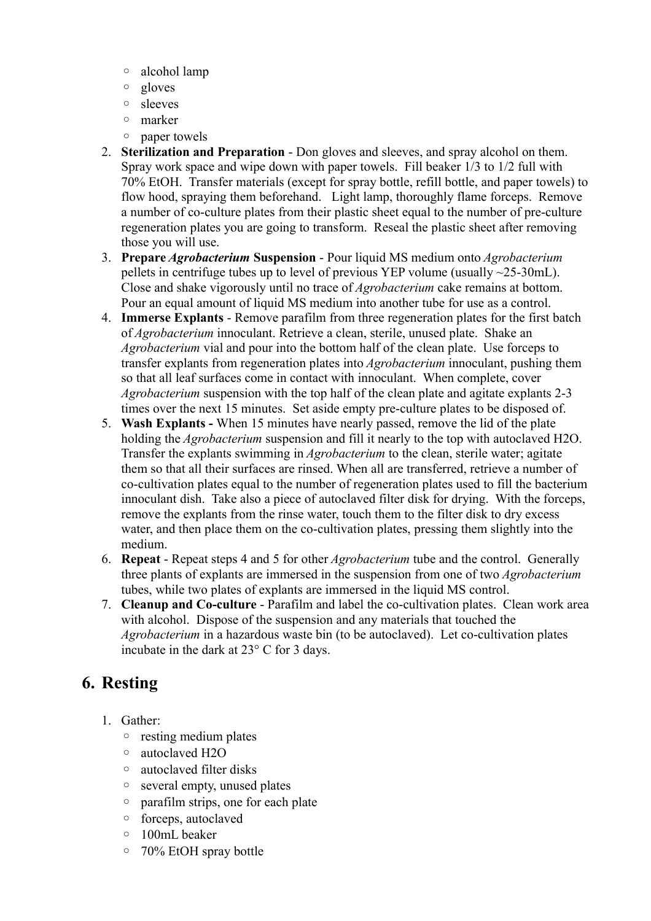- alcohol lamp
- gloves
- sleeves
- marker
- paper towels
- 2. **Sterilization and Preparation** Don gloves and sleeves, and spray alcohol on them. Spray work space and wipe down with paper towels. Fill beaker 1/3 to 1/2 full with 70% EtOH. Transfer materials (except for spray bottle, refill bottle, and paper towels) to flow hood, spraying them beforehand. Light lamp, thoroughly flame forceps. Remove a number of co-culture plates from their plastic sheet equal to the number of pre-culture regeneration plates you are going to transform. Reseal the plastic sheet after removing those you will use.
- 3. **Prepare** *Agrobacterium* **Suspension** Pour liquid MS medium onto *Agrobacterium* pellets in centrifuge tubes up to level of previous YEP volume (usually  $\sim$ 25-30mL). Close and shake vigorously until no trace of *Agrobacterium* cake remains at bottom. Pour an equal amount of liquid MS medium into another tube for use as a control.
- 4. **Immerse Explants** Remove parafilm from three regeneration plates for the first batch of *Agrobacterium* innoculant. Retrieve a clean, sterile, unused plate. Shake an *Agrobacterium* vial and pour into the bottom half of the clean plate. Use forceps to transfer explants from regeneration plates into *Agrobacterium* innoculant, pushing them so that all leaf surfaces come in contact with innoculant. When complete, cover *Agrobacterium* suspension with the top half of the clean plate and agitate explants 2-3 times over the next 15 minutes. Set aside empty pre-culture plates to be disposed of.
- 5. **Wash Explants** When 15 minutes have nearly passed, remove the lid of the plate holding the *Agrobacterium* suspension and fill it nearly to the top with autoclaved H2O. Transfer the explants swimming in *Agrobacterium* to the clean, sterile water; agitate them so that all their surfaces are rinsed. When all are transferred, retrieve a number of co-cultivation plates equal to the number of regeneration plates used to fill the bacterium innoculant dish. Take also a piece of autoclaved filter disk for drying. With the forceps, remove the explants from the rinse water, touch them to the filter disk to dry excess water, and then place them on the co-cultivation plates, pressing them slightly into the medium.
- 6. **Repeat** Repeat steps 4 and 5 for other *Agrobacterium* tube and the control. Generally three plants of explants are immersed in the suspension from one of two *Agrobacterium* tubes, while two plates of explants are immersed in the liquid MS control.
- 7. **Cleanup and Co-culture** Parafilm and label the co-cultivation plates. Clean work area with alcohol. Dispose of the suspension and any materials that touched the *Agrobacterium* in a hazardous waste bin (to be autoclaved). Let co-cultivation plates incubate in the dark at 23° C for 3 days.

## **6. Resting**

- 1. Gather:
	- resting medium plates
	- autoclaved H2O
	- autoclaved filter disks
	- several empty, unused plates
	- parafilm strips, one for each plate
	- forceps, autoclaved
	- 100mL beaker
	- 70% EtOH spray bottle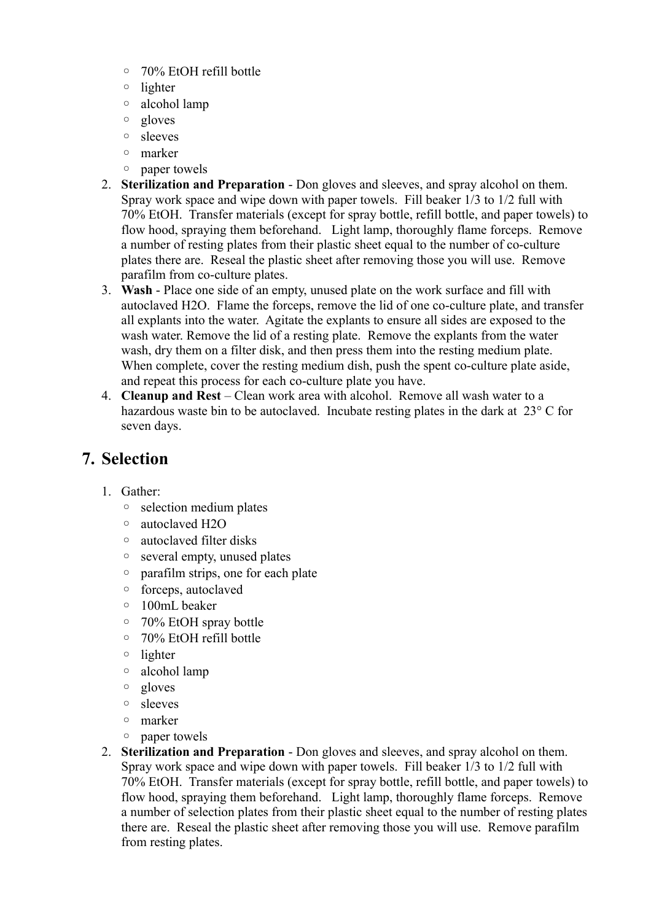- 70% EtOH refill bottle
- lighter
- alcohol lamp
- gloves
- sleeves
- marker
- paper towels
- 2. **Sterilization and Preparation** Don gloves and sleeves, and spray alcohol on them. Spray work space and wipe down with paper towels. Fill beaker 1/3 to 1/2 full with 70% EtOH. Transfer materials (except for spray bottle, refill bottle, and paper towels) to flow hood, spraying them beforehand. Light lamp, thoroughly flame forceps. Remove a number of resting plates from their plastic sheet equal to the number of co-culture plates there are. Reseal the plastic sheet after removing those you will use. Remove parafilm from co-culture plates.
- 3. **Wash** Place one side of an empty, unused plate on the work surface and fill with autoclaved H2O. Flame the forceps, remove the lid of one co-culture plate, and transfer all explants into the water. Agitate the explants to ensure all sides are exposed to the wash water. Remove the lid of a resting plate. Remove the explants from the water wash, dry them on a filter disk, and then press them into the resting medium plate. When complete, cover the resting medium dish, push the spent co-culture plate aside, and repeat this process for each co-culture plate you have.
- 4. **Cleanup and Rest** Clean work area with alcohol. Remove all wash water to a hazardous waste bin to be autoclaved. Incubate resting plates in the dark at 23° C for seven days.

## **7. Selection**

- 1. Gather:
	- selection medium plates
	- autoclaved H2O
	- autoclaved filter disks
	- several empty, unused plates
	- parafilm strips, one for each plate
	- forceps, autoclaved
	- 100mL beaker
	- 70% EtOH spray bottle
	- 70% EtOH refill bottle
	- lighter
	- alcohol lamp
	- gloves
	- sleeves
	- marker
	- paper towels
- 2. **Sterilization and Preparation** Don gloves and sleeves, and spray alcohol on them. Spray work space and wipe down with paper towels. Fill beaker 1/3 to 1/2 full with 70% EtOH. Transfer materials (except for spray bottle, refill bottle, and paper towels) to flow hood, spraying them beforehand. Light lamp, thoroughly flame forceps. Remove a number of selection plates from their plastic sheet equal to the number of resting plates there are. Reseal the plastic sheet after removing those you will use. Remove parafilm from resting plates.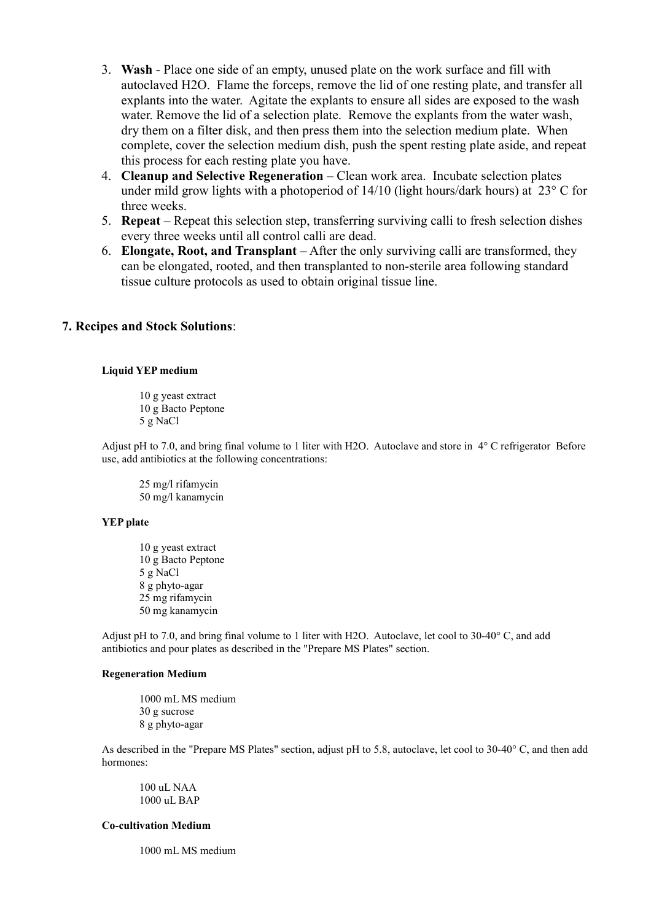- 3. **Wash** Place one side of an empty, unused plate on the work surface and fill with autoclaved H2O. Flame the forceps, remove the lid of one resting plate, and transfer all explants into the water. Agitate the explants to ensure all sides are exposed to the wash water. Remove the lid of a selection plate. Remove the explants from the water wash, dry them on a filter disk, and then press them into the selection medium plate. When complete, cover the selection medium dish, push the spent resting plate aside, and repeat this process for each resting plate you have.
- 4. **Cleanup and Selective Regeneration** Clean work area. Incubate selection plates under mild grow lights with a photoperiod of  $14/10$  (light hours/dark hours) at 23 $\degree$  C for three weeks.
- 5. **Repeat** Repeat this selection step, transferring surviving calli to fresh selection dishes every three weeks until all control calli are dead.
- 6. **Elongate, Root, and Transplant** After the only surviving calli are transformed, they can be elongated, rooted, and then transplanted to non-sterile area following standard tissue culture protocols as used to obtain original tissue line.

#### **7. Recipes and Stock Solutions**:

#### **Liquid YEP medium**

10 g yeast extract 10 g Bacto Peptone 5 g NaCl

Adjust pH to 7.0, and bring final volume to 1 liter with H2O. Autoclave and store in 4° C refrigerator Before use, add antibiotics at the following concentrations:

25 mg/l rifamycin 50 mg/l kanamycin

#### **YEP plate**

10 g yeast extract 10 g Bacto Peptone 5 g NaCl 8 g phyto-agar 25 mg rifamycin 50 mg kanamycin

Adjust pH to 7.0, and bring final volume to 1 liter with H2O. Autoclave, let cool to 30-40° C, and add antibiotics and pour plates as described in the "Prepare MS Plates" section.

#### **Regeneration Medium**

1000 mL MS medium 30 g sucrose 8 g phyto-agar

As described in the "Prepare MS Plates" section, adjust pH to 5.8, autoclave, let cool to 30-40° C, and then add hormones:

100 uL NAA 1000 uL BAP

#### **Co-cultivation Medium**

1000 mL MS medium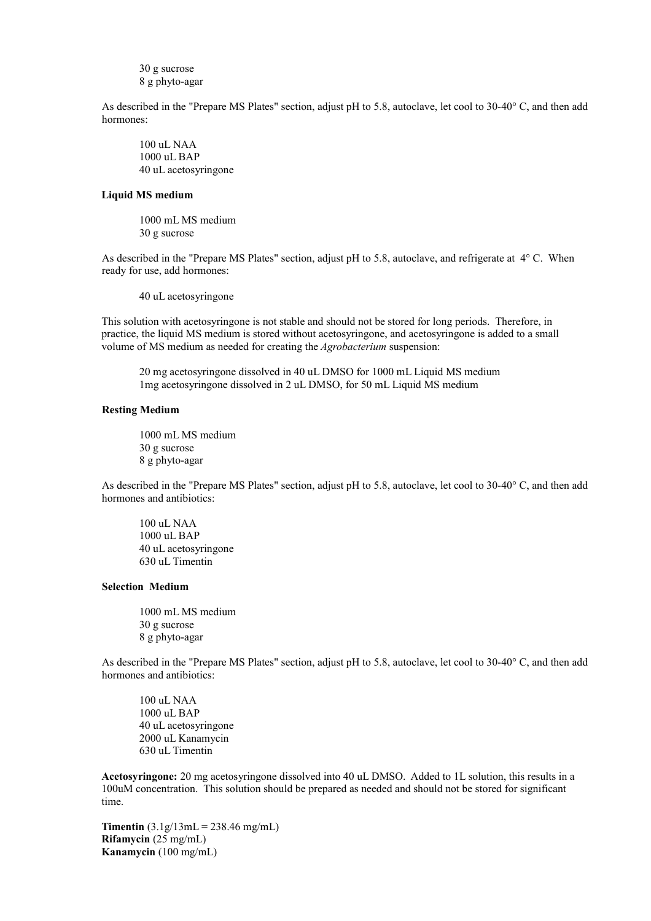30 g sucrose 8 g phyto-agar

As described in the "Prepare MS Plates" section, adjust pH to 5.8, autoclave, let cool to 30-40° C, and then add hormones:

100 uL NAA 1000 uL BAP 40 uL acetosyringone

#### **Liquid MS medium**

1000 mL MS medium 30 g sucrose

As described in the "Prepare MS Plates" section, adjust pH to 5.8, autoclave, and refrigerate at 4° C. When ready for use, add hormones:

40 uL acetosyringone

This solution with acetosyringone is not stable and should not be stored for long periods. Therefore, in practice, the liquid MS medium is stored without acetosyringone, and acetosyringone is added to a small volume of MS medium as needed for creating the *Agrobacterium* suspension:

20 mg acetosyringone dissolved in 40 uL DMSO for 1000 mL Liquid MS medium 1mg acetosyringone dissolved in 2 uL DMSO, for 50 mL Liquid MS medium

#### **Resting Medium**

1000 mL MS medium 30 g sucrose 8 g phyto-agar

As described in the "Prepare MS Plates" section, adjust pH to 5.8, autoclave, let cool to 30-40° C, and then add hormones and antibiotics:

100 uL NAA 1000 uL BAP 40 uL acetosyringone 630 uL Timentin

#### **Selection Medium**

1000 mL MS medium 30 g sucrose 8 g phyto-agar

As described in the "Prepare MS Plates" section, adjust pH to 5.8, autoclave, let cool to 30-40° C, and then add hormones and antibiotics:

100 uL NAA 1000 uL BAP 40 uL acetosyringone 2000 uL Kanamycin 630 uL Timentin

**Acetosyringone:** 20 mg acetosyringone dissolved into 40 uL DMSO. Added to 1L solution, this results in a 100uM concentration. This solution should be prepared as needed and should not be stored for significant time.

**Timentin**  $(3.1g/13mL = 238.46 mg/mL)$ **Rifamycin** (25 mg/mL) **Kanamycin** (100 mg/mL)